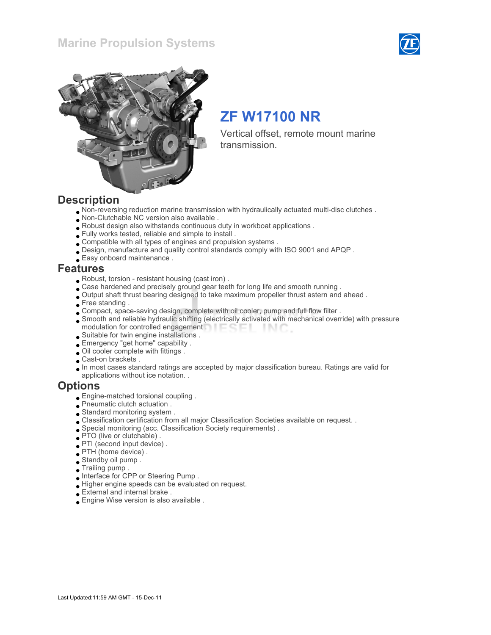



# ZF W17100 NR

Vertical offset, remote mount marine transmission.

### **Description**

- Non-reversing reduction marine transmission with hydraulically actuated multi-disc clutches .
- Non-Clutchable NC version also available .
- Robust design also withstands continuous duty in workboat applications .
- Fully works tested, reliable and simple to install .
- Compatible with all types of engines and propulsion systems .
- Design, manufacture and quality control standards comply with ISO 9001 and APQP .
- Easy onboard maintenance .

### Features

- Robust, torsion resistant housing (cast iron) .
- Case hardened and precisely ground gear teeth for long life and smooth running .
- Output shaft thrust bearing designed to take maximum propeller thrust astern and ahead .
- Free standing.
- Compact, space-saving design, complete with oil cooler, pump and full flow filter .
- Smooth and reliable hydraulic shifting (electrically activated with mechanical override) with pressure modulation for controlled engagement . **Example 20** -INC
- Suitable for twin engine installations .
- Emergency "get home" capability .
- Oil cooler complete with fittings .
- Cast-on brackets .
- In most cases standard ratings are accepted by major classification bureau. Ratings are valid for applications without ice notation. .

### **Options**

- Engine-matched torsional coupling .
- Pneumatic clutch actuation .
- Standard monitoring system .
- Classification certification from all major Classification Societies available on request. .
- Special monitoring (acc. Classification Society requirements) .
- PTO (live or clutchable) .
- PTI (second input device) .
- PTH (home device) .
- Standby oil pump .
- Trailing pump .
- Interface for CPP or Steering Pump .
- Higher engine speeds can be evaluated on request.
- External and internal brake .
- Engine Wise version is also available .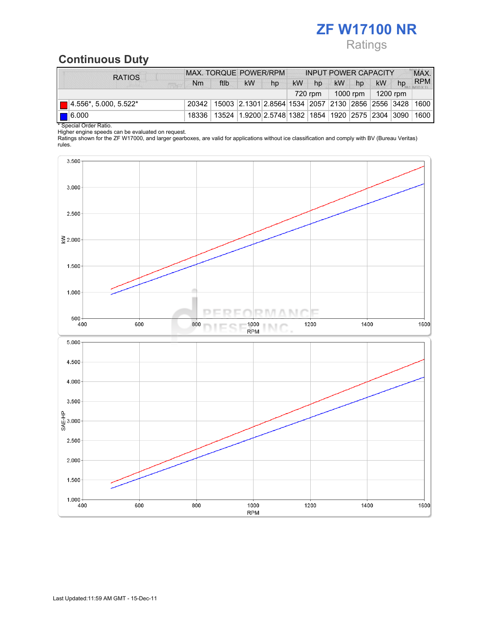# ZF W17100 NR Ratings

# Continuous Duty

| <b>RATIOS</b>                        | MAX. TORQUE POWER/RPM |                                                                                  |                      | <b>INPUT POWER CAPACITY</b> |            |    |           |    |    | MAX. |            |
|--------------------------------------|-----------------------|----------------------------------------------------------------------------------|----------------------|-----------------------------|------------|----|-----------|----|----|------|------------|
| <b>SER</b>                           | Nm                    | ftlb                                                                             | <b>kW</b>            | hp                          | <b>kW</b>  | hp | <b>kW</b> | hp | kW | hp   | <b>RPM</b> |
|                                      | 720 rpm               |                                                                                  | 1000 rpm $\parallel$ |                             | $1200$ rpm |    |           |    |    |      |            |
| $\blacksquare$ 4.556*, 5.000, 5.522* |                       | 20342   15003   2.1301   2.8564   1534   2057   2130   2856   2556   3428   1600 |                      |                             |            |    |           |    |    |      |            |
| $\blacksquare$ 6.000                 |                       | 18336   13524   1.9200   2.5748   1382   1854   1920   2575   2304   3090   1600 |                      |                             |            |    |           |    |    |      |            |
| * Special Order Ratio.               |                       |                                                                                  |                      |                             |            |    |           |    |    |      |            |

Higher engine speeds can be evaluated on request.

Ratings shown for the ZF W17000, and larger gearboxes, are valid for applications without ice classification and comply with BV (Bureau Veritas) rules.

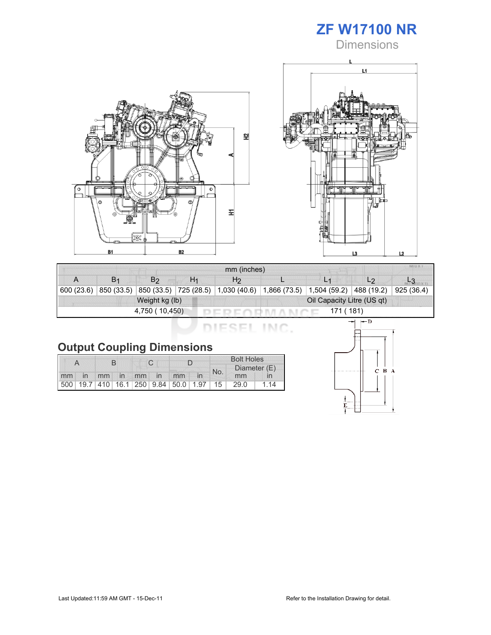

**Dimensions** 





| mm (inches)                 |                |                |                |                                                                            |  |                |                |            |  |
|-----------------------------|----------------|----------------|----------------|----------------------------------------------------------------------------|--|----------------|----------------|------------|--|
|                             | B <sub>1</sub> | B <sub>2</sub> | H <sub>1</sub> | H <sub>2</sub>                                                             |  | L <sub>1</sub> | L <sub>2</sub> |            |  |
| 600(23.6)                   | 850 (33.5)     |                |                | $ 850(33.5) $ 725 (28.5) $ 1,030(40.6) 1,866(73.5) 1,504(59.2) 488(19.2) $ |  |                |                | 925 (36.4) |  |
|                             |                | Weight kg (lb) |                | Oil Capacity Litre (US qt)                                                 |  |                |                |            |  |
| 4,750 (10,450)<br>171 (181) |                |                |                |                                                                            |  |                |                |            |  |

DIESEL INC.

|    |                |             |  |  |                                         | <b>Bolt Holes</b> |              |      |    |
|----|----------------|-------------|--|--|-----------------------------------------|-------------------|--------------|------|----|
|    |                |             |  |  | No.                                     |                   | Diameter (E) |      |    |
| mm | $\overline{m}$ | mm in mm in |  |  | mm                                      |                   |              | mm   |    |
|    |                |             |  |  | 500 19.7 410 16.1 250 9.84 50.0 1.97 15 |                   |              | 29.0 | 14 |

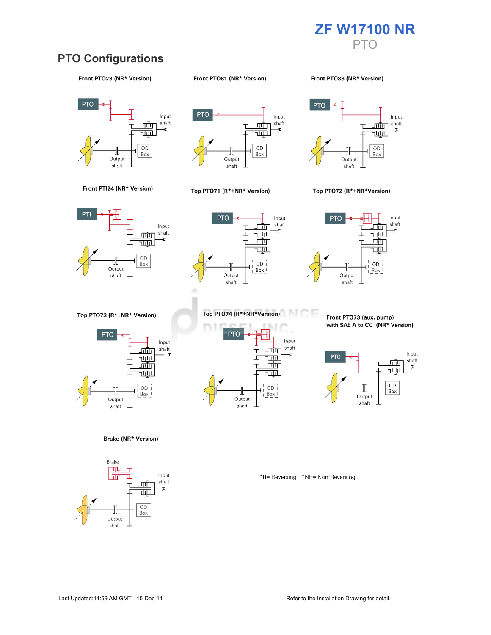

## **PTO Configurations**

#### Front PTO23 (NR\* Version)

#### Front PTO81 (NR\* Version)

Front PTO83 (NR\* Version)





#### Top PTO71 (R\*+NR\* Version)



#### Top PTO72 (R\*+NR\*Version)





**PTO** Input shaft गागा Ŧ 唖 痖 ᆸ  $\overline{OD}$  $Box_$ Output shaft

Top PTO73 (R\*+NR\* Version)



Brake (NR\* Version)





Front PTO73 (aux. pump) with SAE A to CC (NR\* Version)



\*R= Reversing \*NR= Non-Reversing

Front PTI24 (NR\* Version)